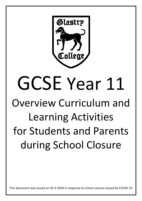

## GCSE Year 11 Overview Curriculum and Learning Activities for Students and Parents during School Closure

This document was issued on 20-3-2020 in response to school closure caused by COVID-19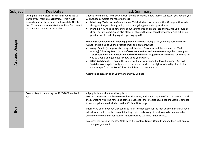| Subject        | <b>Key Dates</b>                                                                                                                                                                                                                                             | <b>Task Summary</b>                                                                                                                                                                                                                                                                                                                                                                                                                                                                                                                                                                                                                                                                                                                                                                                                                                                                                                                                                                                                                                                                                                                                                                                                                                                                                                                                                                                                             |
|----------------|--------------------------------------------------------------------------------------------------------------------------------------------------------------------------------------------------------------------------------------------------------------|---------------------------------------------------------------------------------------------------------------------------------------------------------------------------------------------------------------------------------------------------------------------------------------------------------------------------------------------------------------------------------------------------------------------------------------------------------------------------------------------------------------------------------------------------------------------------------------------------------------------------------------------------------------------------------------------------------------------------------------------------------------------------------------------------------------------------------------------------------------------------------------------------------------------------------------------------------------------------------------------------------------------------------------------------------------------------------------------------------------------------------------------------------------------------------------------------------------------------------------------------------------------------------------------------------------------------------------------------------------------------------------------------------------------------------|
| Art and Design | During the school closure I'm asking you to look at<br>starting your main project (Unit 2). This would<br>normally start at Easter and run through to October in<br>Year 12, when you would start your Final Outcome, to<br>be completed by end of December. | Choose to either stick with your current theme or choose a new theme. Whatever you decide, you<br>will need to complete the following tasks.<br>Mind map/Brainstorm of your theme: This includes covering an entire A2 page with words,<br>thoughts, images, photographs, basically anything to do with your theme.<br>Planning: You need to now think about your theme and make lists of Drawings you could do<br>$\bullet$<br>(from real life objects), and also places or objects that you could Photograph. Again, like our<br>previous work, really high quality photography!!<br>Drawings: You need to fill 3 Drawing pages A2 Size with real quality, your very best work! Not<br>rushed, and it is up to you to produce small and large drawings<br>using Pencils (a range of sketching and shading), Pens( using all the elements of Mark-<br>making) Colouring Pencil (layers of colours). Also Pen and watercolour together looks great.<br>You should be taking 2 weeks on each of the drawing pages!!! Here are some Key Words for<br>you to Google and get Ideas for how to do your pages<br>GCSE Sketchbooks - Look at the quality of the drawings and the layout of pages! A-Level<br>Sketchbooks - again it will get you to push your work to the highest of quality! Also look at<br>your images from the True Colours Exhibition that we went to.<br>Aspire to be great in all of your work and you will be! |
|                | Exam - likely to be during the 2020-2021 academic<br>year                                                                                                                                                                                                    | All pupils should check email regularly.<br>Most of the content has been covered for this exam, with the exception of Market Research and<br>the Marketing Mix. The notes and some activities for these topics have been individually emailed<br>to each pupil and are included on the BCS One Note page.<br>Pupils have been given revision tables to fill in for each topic for the mock exam in March. I have<br>added some tables for the two outstanding topics and a copy of this has also been emailed and<br>added to OneNote. Further revision material will be available in due course.<br>To access the notes on the One Note page it is Content Library Unit 2 Exam and then click on any<br>of the topics you need.                                                                                                                                                                                                                                                                                                                                                                                                                                                                                                                                                                                                                                                                                                |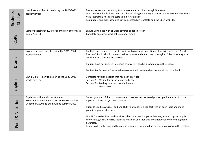|                            | Unit 1 exam - likely to be during the 2020-2021<br>academic year                                                                      | Resources to cover remaining topic areas are accessible through OneNote.<br>Unit 1 revision books have been distributed, along with bought revision guides - remember these                                                             |
|----------------------------|---------------------------------------------------------------------------------------------------------------------------------------|-----------------------------------------------------------------------------------------------------------------------------------------------------------------------------------------------------------------------------------------|
|                            |                                                                                                                                       | have interactive notes and tests to aid revision also.                                                                                                                                                                                  |
| <b>Business</b><br>Studies |                                                                                                                                       | Past papers and mark schemes can be accessed on OneNote and the CCEA website.                                                                                                                                                           |
|                            | Start of September 2020 for submission of work set                                                                                    | Ensure up to date with all work covered so far this year.                                                                                                                                                                               |
| CoPE                       | during Year 11                                                                                                                        | Complete any other work set via school email.                                                                                                                                                                                           |
|                            | No external assessments during the 2019-2020<br>academic year                                                                         | Booklets have been given out to pupils with past paper questions, along with a copy of 'Blood<br>Brothers'. Pupils should type up their responses and email them through to Miss McKendry - her<br>email address is inside the booklet. |
| Drama                      |                                                                                                                                       | If pupils have not been in to receive this work, it can be picked up from the school.                                                                                                                                                   |
|                            |                                                                                                                                       | Devised Performance Controlled Assessment will resume when we are all back in school.                                                                                                                                                   |
|                            | Unit 1 Exam - likely to be during the 2020-2021                                                                                       | Complete revision booklet that has been provided.                                                                                                                                                                                       |
|                            | academic year                                                                                                                         | Section A - Writing for purpose and audience<br>Section B - Reading to access non-fiction and                                                                                                                                           |
| English                    |                                                                                                                                       | Media texts                                                                                                                                                                                                                             |
|                            | Pupils to continue with work stated.<br>No formal exam in June 2020. Coursework is due<br>December 2020 and exam will be summer 2021. | Collect your class folder of notes as each teacher has prepared photocopied materials to cover<br>topics that have not yet been covered.                                                                                                |
|                            |                                                                                                                                       | Pupils to use CCEA GCSE Food and Nutrition website. Read fact files on each topic and make<br>graphic organisers for each.                                                                                                              |
| Food & Nutrition           |                                                                                                                                       | Use BBC bite size Food and Nutrition, this covers each topic with notes, a video clip and a quiz.<br>Work through BBC bite size food and nutrition and then add any additional work to the graphic<br>organiser.                        |
|                            |                                                                                                                                       | Revise folder notes and add to graphic organiser. Each pupil has a course overview in their folder.                                                                                                                                     |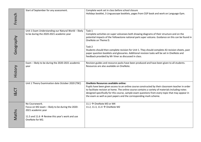|           | Start of September for any assessment.                                                                                                                                     | Complete work set in class before school closure                                                                                                                                                                                                                                                                                                                                                                                                                                                        |
|-----------|----------------------------------------------------------------------------------------------------------------------------------------------------------------------------|---------------------------------------------------------------------------------------------------------------------------------------------------------------------------------------------------------------------------------------------------------------------------------------------------------------------------------------------------------------------------------------------------------------------------------------------------------------------------------------------------------|
| French    |                                                                                                                                                                            | Holidays booklet, 3 Linguascope booklets, pages from CGP book and work on Language Gym.                                                                                                                                                                                                                                                                                                                                                                                                                 |
| Geography | Unit 1 Exam Understanding our Natural World - likely<br>to be during the 2020-2021 academic year                                                                           | Task 1<br>Complete activities on super volcanoes both drawing diagrams of their structure and on the<br>potential impacts of the Yellowstone national park super volcano. Guidance on this can be found in<br>OneNote on Theme D.<br>Task 2<br>Students should then complete revision for Unit 1. They should complete A3 revision sheets, past<br>paper question booklets and glossaries. Additional revision tasks will be set in OneNote and<br>feedback provided by Mr Viner as discussed in class. |
| History   | Exam - likely to be during the 2020-2021 academic<br>year                                                                                                                  | Revision guides and resource packs have been produced and have been given to all students.<br>Resources are also available on OneNote.                                                                                                                                                                                                                                                                                                                                                                  |
|           | Unit 1 Theory Examination date October 2020 (TBC)                                                                                                                          | <b>OneNote Resources available online:</b><br>Pupils have been given access to an online course constructed by their classroom teacher in order<br>to facilitate revision at home. The online course contains a variety of materials including notes<br>designed specifically for this course, sample exam questions from every topic that may appear in<br>the exam as well as past papers and the corresponding mark scheme.                                                                          |
| Maths     | No Coursework.<br>Focus on M2 exam - likely to be during the 2020-<br>2021 academic year<br>11.5 and 11.6 $\rightarrow$ Review this year's work and use<br>OneNote for M2. | 11.1 $\rightarrow$ OneNote M3 or M4<br>11.2, 11.3, 11.4 $\rightarrow$ OneNote M2                                                                                                                                                                                                                                                                                                                                                                                                                        |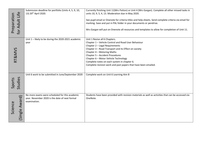| for Adult Life<br>Preparation | Submission deadline for portfolio (Units 4, 5, 9, 10,<br>13) 20 <sup>th</sup> April 2020.                        | Currently finishing Unit 11(Mrs Patton) or Unit 4 (Mrs Gargan). Complete all other missed tasks in<br>units 10, 9, 5, 4, 13. Moderation due in May 2020.<br>See pupil email or Onenote for criteria titles and help sheets. Send complete criteria via email for<br>marking. Save and put in PAL folder in your documents or pendrive.<br>Mrs Gargan will put on Onenote all resources and templates to allow for completion of Unit 11. |
|-------------------------------|------------------------------------------------------------------------------------------------------------------|------------------------------------------------------------------------------------------------------------------------------------------------------------------------------------------------------------------------------------------------------------------------------------------------------------------------------------------------------------------------------------------------------------------------------------------|
| RT&MVS                        | Unit 1 - likely to be during the 2020-2021 academic<br>year                                                      | Unit 1 Revise all 6 Chapters.<br>Chapter 1 - Vehicle Control and Road User Behaviour<br>Chapter 2 - Legal Requirements<br>Chapter 3 - Road Transport and its Effect on society<br>Chapter 4 - Motoring Maths<br>Chapter 5 - Accident Procedures<br>Chapter 6 - Motor Vehicle Technology<br>Complete notes on each system in chapter 6.<br>Complete revision work and past papers that have been emailed.                                 |
| Studies<br>Sports             | Unit 6 work to be submitted in June/September 2020                                                               | Complete work on Unit 6 Learning Aim B                                                                                                                                                                                                                                                                                                                                                                                                   |
| (Single Award)<br>Science     | No more exams were scheduled for this academic<br>year. November 2020 is the date of next formal<br>examination. | Students have been provided with revision materials as well as activities that can be accessed via<br>OneNote.                                                                                                                                                                                                                                                                                                                           |